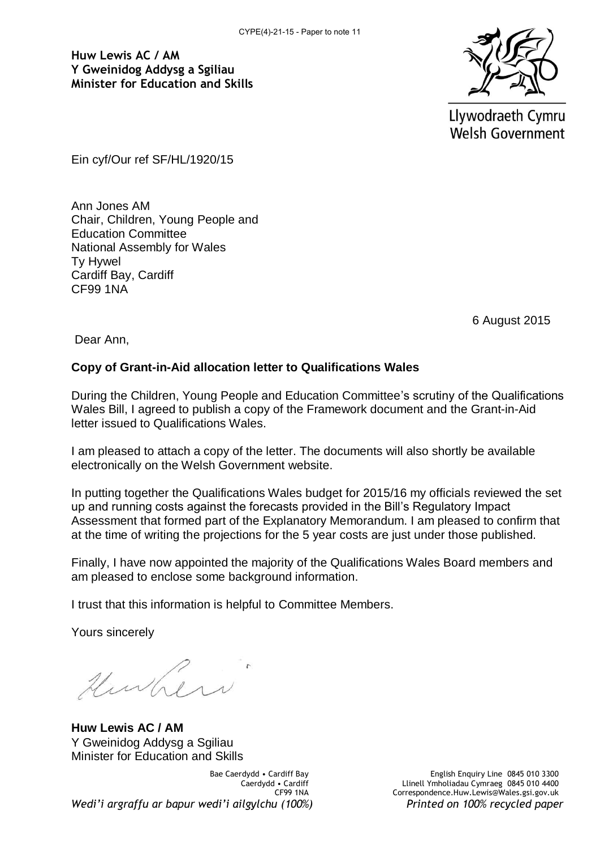**Huw Lewis AC / AM Y Gweinidog Addysg a Sgiliau Minister for Education and Skills**



Llywodraeth Cymru **Welsh Government** 

Ein cyf/Our ref SF/HL/1920/15

Ann Jones AM Chair, Children, Young People and Education Committee National Assembly for Wales Ty Hywel Cardiff Bay, Cardiff CF99 1NA

6 August 2015

Dear Ann,

#### **Copy of Grant-in-Aid allocation letter to Qualifications Wales**

During the Children, Young People and Education Committee's scrutiny of the Qualifications Wales Bill, I agreed to publish a copy of the Framework document and the Grant-in-Aid letter issued to Qualifications Wales.

I am pleased to attach a copy of the letter. The documents will also shortly be available electronically on the Welsh Government website.

In putting together the Qualifications Wales budget for 2015/16 my officials reviewed the set up and running costs against the forecasts provided in the Bill's Regulatory Impact Assessment that formed part of the Explanatory Memorandum. I am pleased to confirm that at the time of writing the projections for the 5 year costs are just under those published.

Finally, I have now appointed the majority of the Qualifications Wales Board members and am pleased to enclose some background information.

I trust that this information is helpful to Committee Members.

Yours sincerely

Hurher

**Huw Lewis AC / AM**  Y Gweinidog Addysg a Sgiliau Minister for Education and Skills

Bae Caerdydd • Cardiff Bay Caerdydd • Cardiff CF99 1NA *Wedi'i argraffu ar bapur wedi'i ailgylchu (100%) Printed on 100% recycled paper*

English Enquiry Line 0845 010 3300 Llinell Ymholiadau Cymraeg 0845 010 4400 Correspondence.Huw.Lewis@Wales.gsi.gov.uk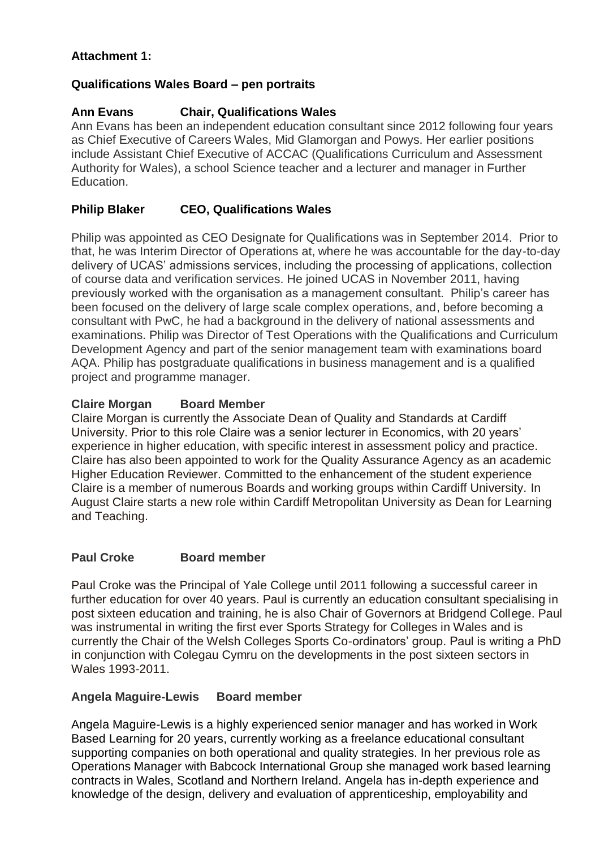# **Attachment 1:**

### **Qualifications Wales Board – pen portraits**

# **Ann Evans Chair, Qualifications Wales**

Ann Evans has been an independent education consultant since 2012 following four years as Chief Executive of Careers Wales, Mid Glamorgan and Powys. Her earlier positions include Assistant Chief Executive of ACCAC (Qualifications Curriculum and Assessment Authority for Wales), a school Science teacher and a lecturer and manager in Further Education.

# **Philip Blaker CEO, Qualifications Wales**

Philip was appointed as CEO Designate for Qualifications was in September 2014. Prior to that, he was Interim Director of Operations at, where he was accountable for the day-to-day delivery of UCAS' admissions services, including the processing of applications, collection of course data and verification services. He joined UCAS in November 2011, having previously worked with the organisation as a management consultant. Philip's career has been focused on the delivery of large scale complex operations, and, before becoming a consultant with PwC, he had a background in the delivery of national assessments and examinations. Philip was Director of Test Operations with the Qualifications and Curriculum Development Agency and part of the senior management team with examinations board AQA. Philip has postgraduate qualifications in business management and is a qualified project and programme manager.

#### **Claire Morgan Board Member**

Claire Morgan is currently the Associate Dean of Quality and Standards at Cardiff University. Prior to this role Claire was a senior lecturer in Economics, with 20 years' experience in higher education, with specific interest in assessment policy and practice. Claire has also been appointed to work for the Quality Assurance Agency as an academic Higher Education Reviewer. Committed to the enhancement of the student experience Claire is a member of numerous Boards and working groups within Cardiff University. In August Claire starts a new role within Cardiff Metropolitan University as Dean for Learning and Teaching.

### **Paul Croke Board member**

Paul Croke was the Principal of Yale College until 2011 following a successful career in further education for over 40 years. Paul is currently an education consultant specialising in post sixteen education and training, he is also Chair of Governors at Bridgend College. Paul was instrumental in writing the first ever Sports Strategy for Colleges in Wales and is currently the Chair of the Welsh Colleges Sports Co-ordinators' group. Paul is writing a PhD in conjunction with Colegau Cymru on the developments in the post sixteen sectors in Wales 1993-2011.

### **Angela Maguire-Lewis Board member**

Angela Maguire-Lewis is a highly experienced senior manager and has worked in Work Based Learning for 20 years, currently working as a freelance educational consultant supporting companies on both operational and quality strategies. In her previous role as Operations Manager with Babcock International Group she managed work based learning contracts in Wales, Scotland and Northern Ireland. Angela has in-depth experience and knowledge of the design, delivery and evaluation of apprenticeship, employability and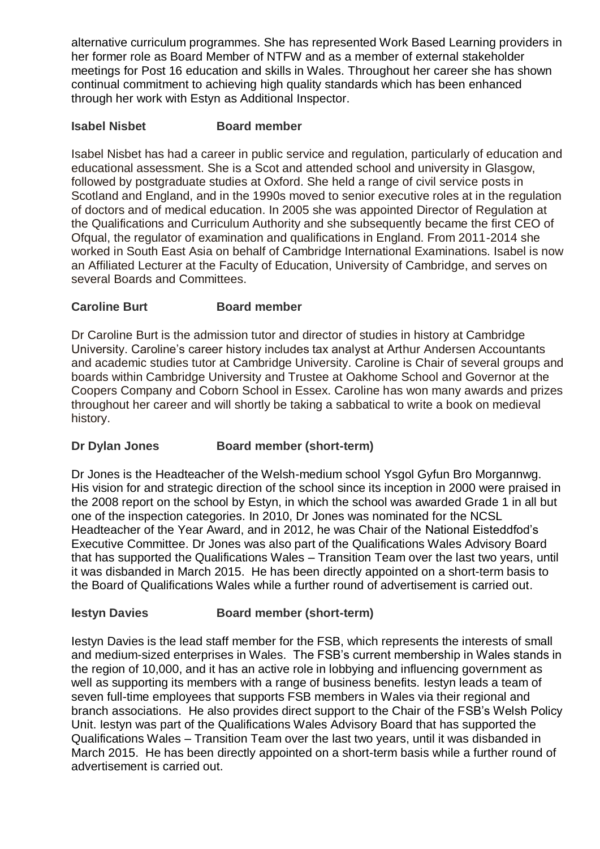alternative curriculum programmes. She has represented Work Based Learning providers in her former role as Board Member of NTFW and as a member of external stakeholder meetings for Post 16 education and skills in Wales. Throughout her career she has shown continual commitment to achieving high quality standards which has been enhanced through her work with Estyn as Additional Inspector.

### **Isabel Nisbet Board member**

Isabel Nisbet has had a career in public service and regulation, particularly of education and educational assessment. She is a Scot and attended school and university in Glasgow, followed by postgraduate studies at Oxford. She held a range of civil service posts in Scotland and England, and in the 1990s moved to senior executive roles at in the regulation of doctors and of medical education. In 2005 she was appointed Director of Regulation at the Qualifications and Curriculum Authority and she subsequently became the first CEO of Ofqual, the regulator of examination and qualifications in England. From 2011-2014 she worked in South East Asia on behalf of Cambridge International Examinations. Isabel is now an Affiliated Lecturer at the Faculty of Education, University of Cambridge, and serves on several Boards and Committees.

# **Caroline Burt Board member**

Dr Caroline Burt is the admission tutor and director of studies in history at Cambridge University. Caroline's career history includes tax analyst at Arthur Andersen Accountants and academic studies tutor at Cambridge University. Caroline is Chair of several groups and boards within Cambridge University and Trustee at Oakhome School and Governor at the Coopers Company and Coborn School in Essex. Caroline has won many awards and prizes throughout her career and will shortly be taking a sabbatical to write a book on medieval history.

# **Dr Dylan Jones Board member (short-term)**

Dr Jones is the Headteacher of the Welsh-medium school Ysgol Gyfun Bro Morgannwg. His vision for and strategic direction of the school since its inception in 2000 were praised in the 2008 report on the school by Estyn, in which the school was awarded Grade 1 in all but one of the inspection categories. In 2010, Dr Jones was nominated for the NCSL Headteacher of the Year Award, and in 2012, he was Chair of the National Eisteddfod's Executive Committee. Dr Jones was also part of the Qualifications Wales Advisory Board that has supported the Qualifications Wales – Transition Team over the last two years, until it was disbanded in March 2015. He has been directly appointed on a short-term basis to the Board of Qualifications Wales while a further round of advertisement is carried out.

### **Iestyn Davies Board member (short-term)**

Iestyn Davies is the lead staff member for the FSB, which represents the interests of small and medium-sized enterprises in Wales. The FSB's current membership in Wales stands in the region of 10,000, and it has an active role in lobbying and influencing government as well as supporting its members with a range of business benefits. Iestyn leads a team of seven full-time employees that supports FSB members in Wales via their regional and branch associations. He also provides direct support to the Chair of the FSB's Welsh Policy Unit. Iestyn was part of the Qualifications Wales Advisory Board that has supported the Qualifications Wales – Transition Team over the last two years, until it was disbanded in March 2015. He has been directly appointed on a short-term basis while a further round of advertisement is carried out.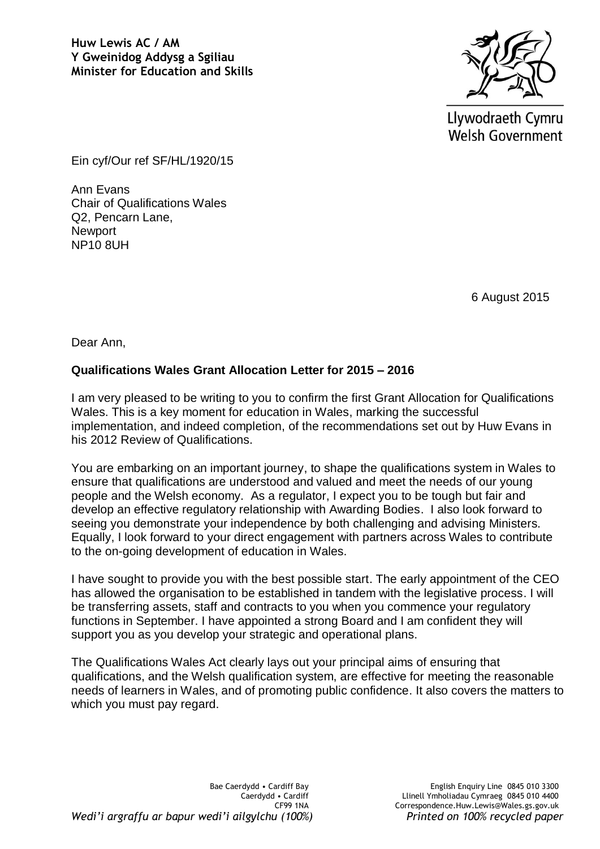

Llywodraeth Cymru **Welsh Government** 

Ein cyf/Our ref SF/HL/1920/15

Ann Evans Chair of Qualifications Wales Q2, Pencarn Lane, **Newport** NP10 8UH

6 August 2015

Dear Ann,

# **Qualifications Wales Grant Allocation Letter for 2015 – 2016**

I am very pleased to be writing to you to confirm the first Grant Allocation for Qualifications Wales. This is a key moment for education in Wales, marking the successful implementation, and indeed completion, of the recommendations set out by Huw Evans in his 2012 Review of Qualifications.

You are embarking on an important journey, to shape the qualifications system in Wales to ensure that qualifications are understood and valued and meet the needs of our young people and the Welsh economy. As a regulator, I expect you to be tough but fair and develop an effective regulatory relationship with Awarding Bodies. I also look forward to seeing you demonstrate your independence by both challenging and advising Ministers. Equally, I look forward to your direct engagement with partners across Wales to contribute to the on-going development of education in Wales.

I have sought to provide you with the best possible start. The early appointment of the CEO has allowed the organisation to be established in tandem with the legislative process. I will be transferring assets, staff and contracts to you when you commence your regulatory functions in September. I have appointed a strong Board and I am confident they will support you as you develop your strategic and operational plans.

The Qualifications Wales Act clearly lays out your principal aims of ensuring that qualifications, and the Welsh qualification system, are effective for meeting the reasonable needs of learners in Wales, and of promoting public confidence. It also covers the matters to which you must pay regard.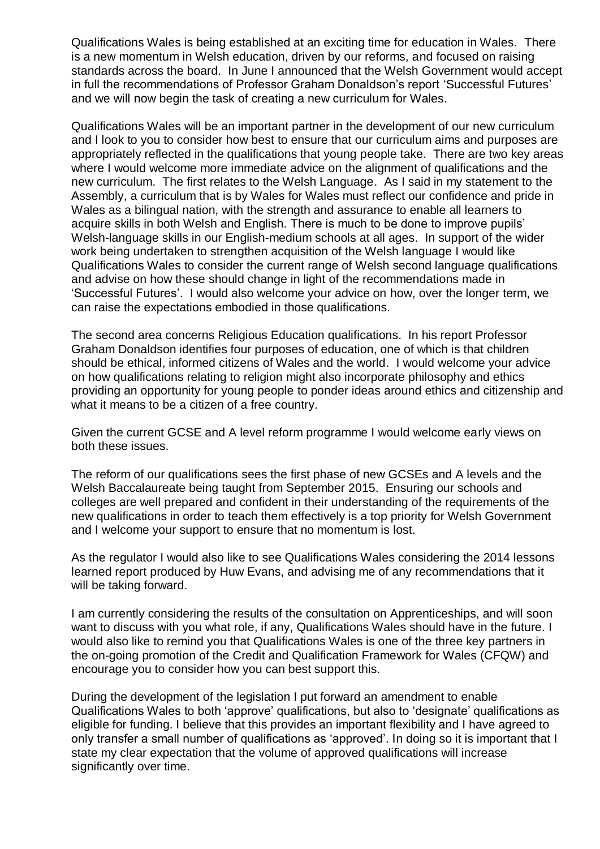Qualifications Wales is being established at an exciting time for education in Wales. There is a new momentum in Welsh education, driven by our reforms, and focused on raising standards across the board. In June I announced that the Welsh Government would accept in full the recommendations of Professor Graham Donaldson's report 'Successful Futures' and we will now begin the task of creating a new curriculum for Wales.

Qualifications Wales will be an important partner in the development of our new curriculum and I look to you to consider how best to ensure that our curriculum aims and purposes are appropriately reflected in the qualifications that young people take. There are two key areas where I would welcome more immediate advice on the alignment of qualifications and the new curriculum. The first relates to the Welsh Language. As I said in my statement to the Assembly, a curriculum that is by Wales for Wales must reflect our confidence and pride in Wales as a bilingual nation, with the strength and assurance to enable all learners to acquire skills in both Welsh and English. There is much to be done to improve pupils' Welsh-language skills in our English-medium schools at all ages. In support of the wider work being undertaken to strengthen acquisition of the Welsh language I would like Qualifications Wales to consider the current range of Welsh second language qualifications and advise on how these should change in light of the recommendations made in 'Successful Futures'. I would also welcome your advice on how, over the longer term, we can raise the expectations embodied in those qualifications.

The second area concerns Religious Education qualifications. In his report Professor Graham Donaldson identifies four purposes of education, one of which is that children should be ethical, informed citizens of Wales and the world. I would welcome your advice on how qualifications relating to religion might also incorporate philosophy and ethics providing an opportunity for young people to ponder ideas around ethics and citizenship and what it means to be a citizen of a free country.

Given the current GCSE and A level reform programme I would welcome early views on both these issues.

The reform of our qualifications sees the first phase of new GCSEs and A levels and the Welsh Baccalaureate being taught from September 2015. Ensuring our schools and colleges are well prepared and confident in their understanding of the requirements of the new qualifications in order to teach them effectively is a top priority for Welsh Government and I welcome your support to ensure that no momentum is lost.

As the regulator I would also like to see Qualifications Wales considering the 2014 lessons learned report produced by Huw Evans, and advising me of any recommendations that it will be taking forward.

I am currently considering the results of the consultation on Apprenticeships, and will soon want to discuss with you what role, if any, Qualifications Wales should have in the future. I would also like to remind you that Qualifications Wales is one of the three key partners in the on-going promotion of the Credit and Qualification Framework for Wales (CFQW) and encourage you to consider how you can best support this.

During the development of the legislation I put forward an amendment to enable Qualifications Wales to both 'approve' qualifications, but also to 'designate' qualifications as eligible for funding. I believe that this provides an important flexibility and I have agreed to only transfer a small number of qualifications as 'approved'. In doing so it is important that I state my clear expectation that the volume of approved qualifications will increase significantly over time.